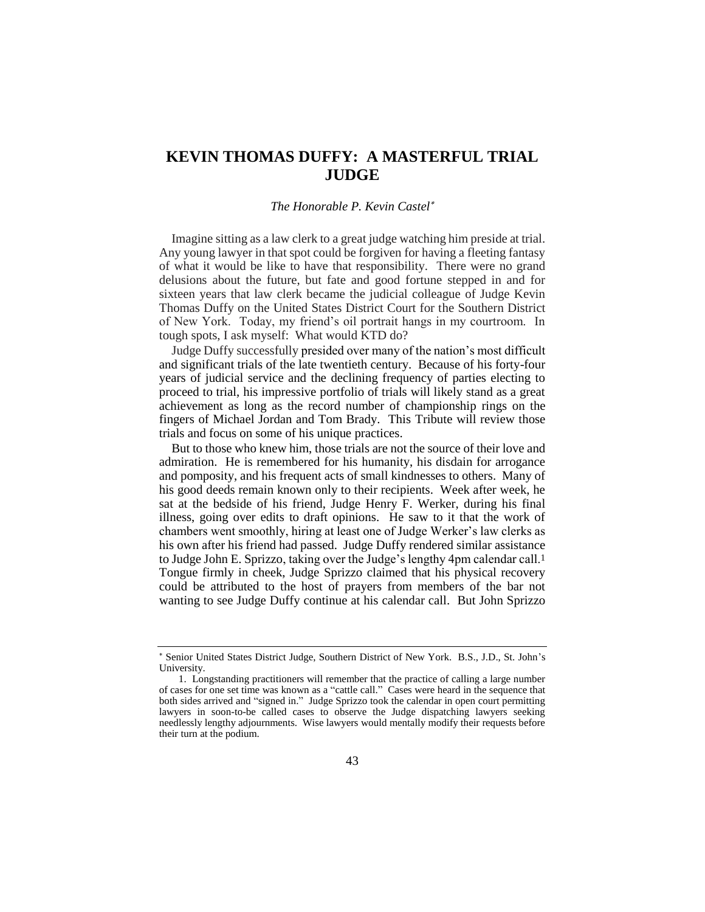# **KEVIN THOMAS DUFFY: A MASTERFUL TRIAL JUDGE**

## *The Honorable P. Kevin Castel*

Imagine sitting as a law clerk to a great judge watching him preside at trial. Any young lawyer in that spot could be forgiven for having a fleeting fantasy of what it would be like to have that responsibility. There were no grand delusions about the future, but fate and good fortune stepped in and for sixteen years that law clerk became the judicial colleague of Judge Kevin Thomas Duffy on the United States District Court for the Southern District of New York. Today, my friend's oil portrait hangs in my courtroom. In tough spots, I ask myself: What would KTD do?

Judge Duffy successfully presided over many of the nation's most difficult and significant trials of the late twentieth century. Because of his forty-four years of judicial service and the declining frequency of parties electing to proceed to trial, his impressive portfolio of trials will likely stand as a great achievement as long as the record number of championship rings on the fingers of Michael Jordan and Tom Brady. This Tribute will review those trials and focus on some of his unique practices.

But to those who knew him, those trials are not the source of their love and admiration. He is remembered for his humanity, his disdain for arrogance and pomposity, and his frequent acts of small kindnesses to others. Many of his good deeds remain known only to their recipients. Week after week, he sat at the bedside of his friend, Judge Henry F. Werker, during his final illness, going over edits to draft opinions. He saw to it that the work of chambers went smoothly, hiring at least one of Judge Werker's law clerks as his own after his friend had passed. Judge Duffy rendered similar assistance to Judge John E. Sprizzo, taking over the Judge's lengthy 4pm calendar call.1 Tongue firmly in cheek, Judge Sprizzo claimed that his physical recovery could be attributed to the host of prayers from members of the bar not wanting to see Judge Duffy continue at his calendar call. But John Sprizzo

Senior United States District Judge, Southern District of New York. B.S., J.D., St. John's University.

<sup>1.</sup> Longstanding practitioners will remember that the practice of calling a large number of cases for one set time was known as a "cattle call." Cases were heard in the sequence that both sides arrived and "signed in." Judge Sprizzo took the calendar in open court permitting lawyers in soon-to-be called cases to observe the Judge dispatching lawyers seeking needlessly lengthy adjournments. Wise lawyers would mentally modify their requests before their turn at the podium.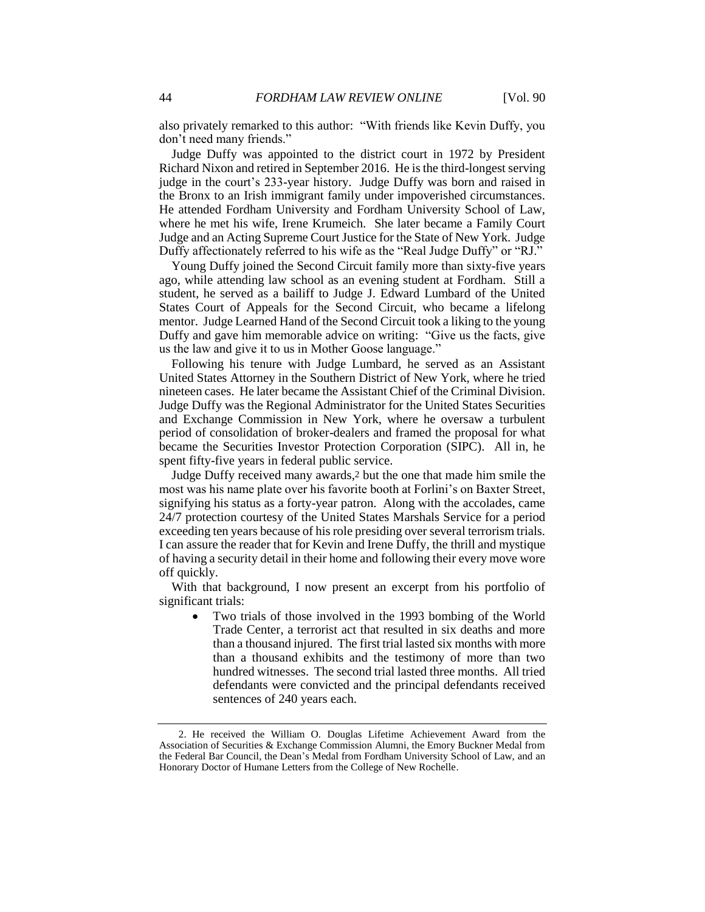also privately remarked to this author: "With friends like Kevin Duffy, you don't need many friends."

Judge Duffy was appointed to the district court in 1972 by President Richard Nixon and retired in September 2016. He is the third-longest serving judge in the court's 233-year history. Judge Duffy was born and raised in the Bronx to an Irish immigrant family under impoverished circumstances. He attended Fordham University and Fordham University School of Law, where he met his wife, Irene Krumeich. She later became a Family Court Judge and an Acting Supreme Court Justice for the State of New York. Judge Duffy affectionately referred to his wife as the "Real Judge Duffy" or "RJ."

Young Duffy joined the Second Circuit family more than sixty-five years ago, while attending law school as an evening student at Fordham. Still a student, he served as a bailiff to Judge J. Edward Lumbard of the United States Court of Appeals for the Second Circuit, who became a lifelong mentor. Judge Learned Hand of the Second Circuit took a liking to the young Duffy and gave him memorable advice on writing: "Give us the facts, give us the law and give it to us in Mother Goose language."

Following his tenure with Judge Lumbard, he served as an Assistant United States Attorney in the Southern District of New York, where he tried nineteen cases. He later became the Assistant Chief of the Criminal Division. Judge Duffy was the Regional Administrator for the United States Securities and Exchange Commission in New York, where he oversaw a turbulent period of consolidation of broker-dealers and framed the proposal for what became the Securities Investor Protection Corporation (SIPC). All in, he spent fifty-five years in federal public service.

Judge Duffy received many awards,2 but the one that made him smile the most was his name plate over his favorite booth at Forlini's on Baxter Street, signifying his status as a forty-year patron. Along with the accolades, came 24/7 protection courtesy of the United States Marshals Service for a period exceeding ten years because of his role presiding over several terrorism trials. I can assure the reader that for Kevin and Irene Duffy, the thrill and mystique of having a security detail in their home and following their every move wore off quickly.

With that background, I now present an excerpt from his portfolio of significant trials:

• Two trials of those involved in the 1993 bombing of the World Trade Center, a terrorist act that resulted in six deaths and more than a thousand injured. The first trial lasted six months with more than a thousand exhibits and the testimony of more than two hundred witnesses. The second trial lasted three months. All tried defendants were convicted and the principal defendants received sentences of 240 years each.

<sup>2.</sup> He received the William O. Douglas Lifetime Achievement Award from the Association of Securities & Exchange Commission Alumni, the Emory Buckner Medal from the Federal Bar Council, the Dean's Medal from Fordham University School of Law, and an Honorary Doctor of Humane Letters from the College of New Rochelle.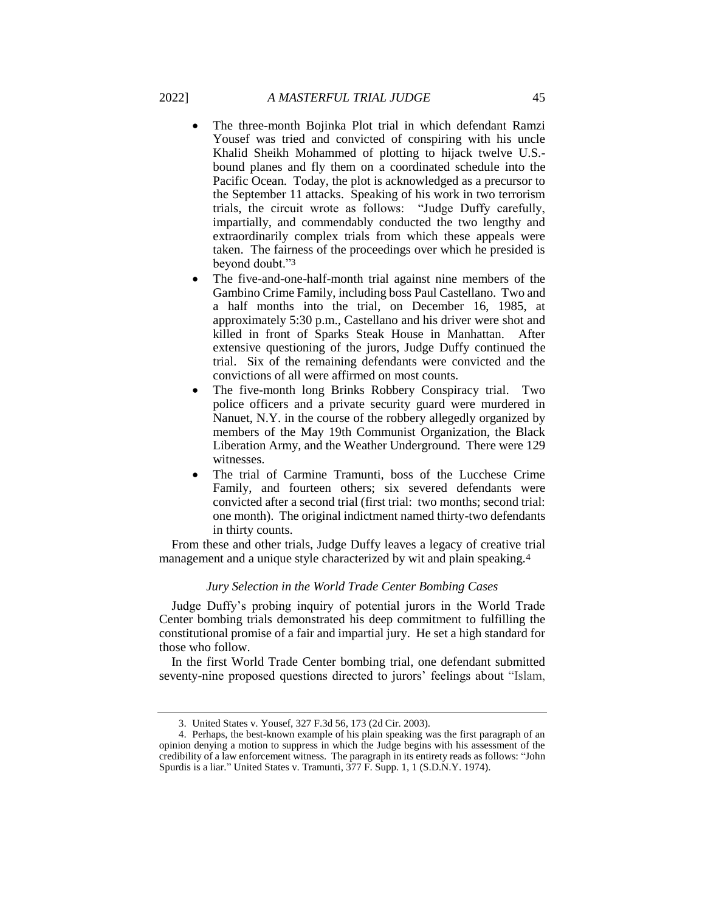- The three-month Bojinka Plot trial in which defendant Ramzi Yousef was tried and convicted of conspiring with his uncle Khalid Sheikh Mohammed of plotting to hijack twelve U.S. bound planes and fly them on a coordinated schedule into the Pacific Ocean. Today, the plot is acknowledged as a precursor to the September 11 attacks. Speaking of his work in two terrorism trials, the circuit wrote as follows: "Judge Duffy carefully, impartially, and commendably conducted the two lengthy and extraordinarily complex trials from which these appeals were taken. The fairness of the proceedings over which he presided is beyond doubt."3
- The five-and-one-half-month trial against nine members of the Gambino Crime Family, including boss Paul Castellano. Two and a half months into the trial, on December 16, 1985, at approximately 5:30 p.m., Castellano and his driver were shot and killed in front of Sparks Steak House in Manhattan. After extensive questioning of the jurors, Judge Duffy continued the trial. Six of the remaining defendants were convicted and the convictions of all were affirmed on most counts.
- The five-month long Brinks Robbery Conspiracy trial. Two police officers and a private security guard were murdered in Nanuet, N.Y. in the course of the robbery allegedly organized by members of the May 19th Communist Organization, the Black Liberation Army, and the Weather Underground. There were 129 witnesses.
- The trial of Carmine Tramunti, boss of the Lucchese Crime Family, and fourteen others; six severed defendants were convicted after a second trial (first trial: two months; second trial: one month). The original indictment named thirty-two defendants in thirty counts.

From these and other trials, Judge Duffy leaves a legacy of creative trial management and a unique style characterized by wit and plain speaking.4

#### *Jury Selection in the World Trade Center Bombing Cases*

Judge Duffy's probing inquiry of potential jurors in the World Trade Center bombing trials demonstrated his deep commitment to fulfilling the constitutional promise of a fair and impartial jury. He set a high standard for those who follow.

In the first World Trade Center bombing trial, one defendant submitted seventy-nine proposed questions directed to jurors' feelings about "Islam,

<sup>3.</sup> United States v. Yousef, 327 F.3d 56, 173 (2d Cir. 2003).

<sup>4.</sup> Perhaps, the best-known example of his plain speaking was the first paragraph of an opinion denying a motion to suppress in which the Judge begins with his assessment of the credibility of a law enforcement witness. The paragraph in its entirety reads as follows: "John Spurdis is a liar." United States v. Tramunti, 377 F. Supp. 1, 1 (S.D.N.Y. 1974).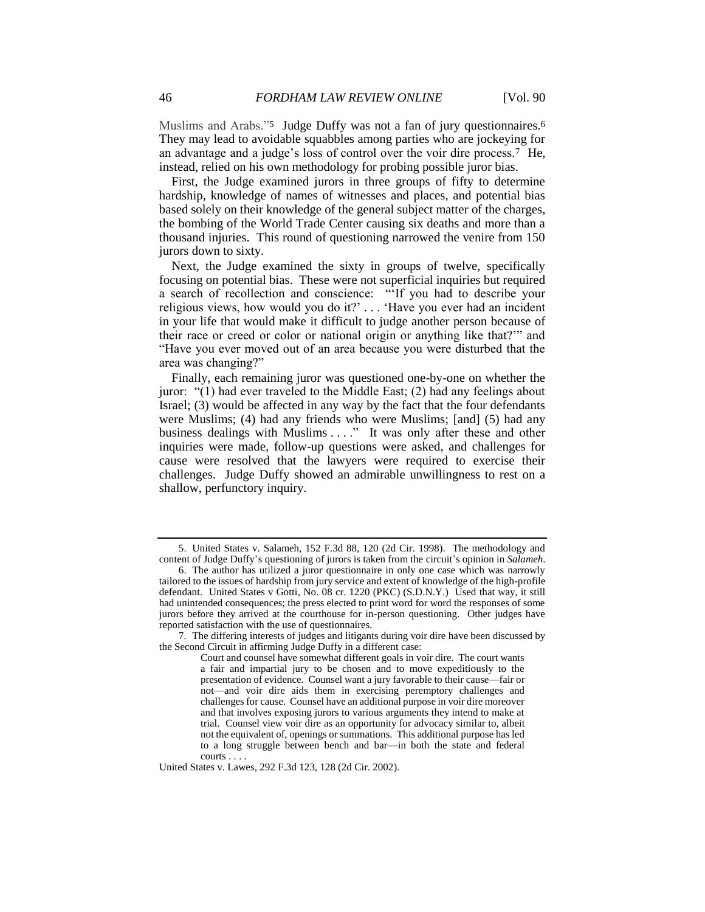Muslims and Arabs."5 Judge Duffy was not a fan of jury questionnaires.6 They may lead to avoidable squabbles among parties who are jockeying for an advantage and a judge's loss of control over the voir dire process.7 He, instead, relied on his own methodology for probing possible juror bias.

First, the Judge examined jurors in three groups of fifty to determine hardship, knowledge of names of witnesses and places, and potential bias based solely on their knowledge of the general subject matter of the charges, the bombing of the World Trade Center causing six deaths and more than a thousand injuries. This round of questioning narrowed the venire from 150 jurors down to sixty.

Next, the Judge examined the sixty in groups of twelve, specifically focusing on potential bias. These were not superficial inquiries but required a search of recollection and conscience: "'If you had to describe your religious views, how would you do it?' . . . 'Have you ever had an incident in your life that would make it difficult to judge another person because of their race or creed or color or national origin or anything like that?'" and "Have you ever moved out of an area because you were disturbed that the area was changing?"

Finally, each remaining juror was questioned one-by-one on whether the juror: "(1) had ever traveled to the Middle East; (2) had any feelings about Israel; (3) would be affected in any way by the fact that the four defendants were Muslims; (4) had any friends who were Muslims; [and] (5) had any business dealings with Muslims . . . ." It was only after these and other inquiries were made, follow-up questions were asked, and challenges for cause were resolved that the lawyers were required to exercise their challenges. Judge Duffy showed an admirable unwillingness to rest on a shallow, perfunctory inquiry.

<sup>5.</sup> United States v. Salameh, 152 F.3d 88, 120 (2d Cir. 1998). The methodology and content of Judge Duffy's questioning of jurors is taken from the circuit's opinion in *Salameh*.

<sup>6.</sup> The author has utilized a juror questionnaire in only one case which was narrowly tailored to the issues of hardship from jury service and extent of knowledge of the high-profile defendant. United States v Gotti, No. 08 cr. 1220 (PKC) (S.D.N.Y.) Used that way, it still had unintended consequences; the press elected to print word for word the responses of some jurors before they arrived at the courthouse for in-person questioning. Other judges have reported satisfaction with the use of questionnaires.

<sup>7.</sup> The differing interests of judges and litigants during voir dire have been discussed by the Second Circuit in affirming Judge Duffy in a different case:

Court and counsel have somewhat different goals in voir dire. The court wants a fair and impartial jury to be chosen and to move expeditiously to the presentation of evidence. Counsel want a jury favorable to their cause—fair or not—and voir dire aids them in exercising peremptory challenges and challenges for cause. Counsel have an additional purpose in voir dire moreover and that involves exposing jurors to various arguments they intend to make at trial. Counsel view voir dire as an opportunity for advocacy similar to, albeit not the equivalent of, openings or summations. This additional purpose has led to a long struggle between bench and bar—in both the state and federal courts . . . .

United States v. Lawes, 292 F.3d 123, 128 (2d Cir. 2002).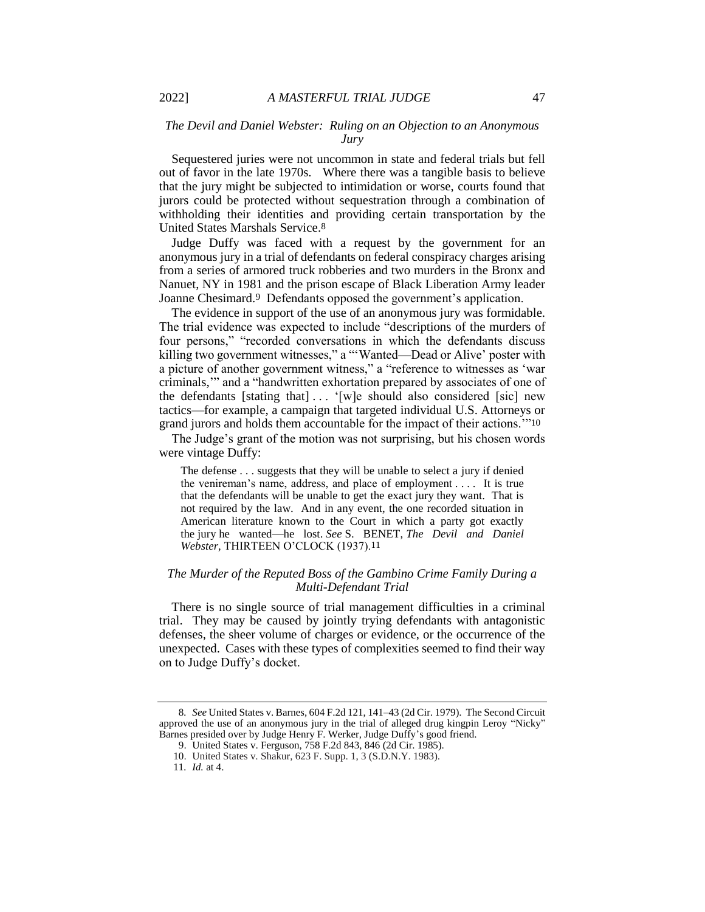# *The Devil and Daniel Webster: Ruling on an Objection to an Anonymous Jury*

Sequestered juries were not uncommon in state and federal trials but fell out of favor in the late 1970s. Where there was a tangible basis to believe that the jury might be subjected to intimidation or worse, courts found that jurors could be protected without sequestration through a combination of withholding their identities and providing certain transportation by the United States Marshals Service.8

Judge Duffy was faced with a request by the government for an anonymous jury in a trial of defendants on federal conspiracy charges arising from a series of armored truck robberies and two murders in the Bronx and Nanuet, NY in 1981 and the prison escape of Black Liberation Army leader Joanne Chesimard.9 Defendants opposed the government's application.

The evidence in support of the use of an anonymous jury was formidable. The trial evidence was expected to include "descriptions of the murders of four persons," "recorded conversations in which the defendants discuss killing two government witnesses," a "'Wanted-Dead or Alive' poster with a picture of another government witness," a "reference to witnesses as 'war criminals,'" and a "handwritten exhortation prepared by associates of one of the defendants [stating that] . . . '[w]e should also considered [sic] new tactics—for example, a campaign that targeted individual U.S. Attorneys or grand jurors and holds them accountable for the impact of their actions.'"10

The Judge's grant of the motion was not surprising, but his chosen words were vintage Duffy:

The defense . . . suggests that they will be unable to select a jury if denied the venireman's name, address, and place of employment . . . . It is true that the defendants will be unable to get the exact jury they want. That is not required by the law. And in any event, the one recorded situation in American literature known to the Court in which a party got exactly the jury he wanted—he lost. *See* S. BENET, *The Devil and Daniel Webster,* THIRTEEN O'CLOCK (1937).11

## *The Murder of the Reputed Boss of the Gambino Crime Family During a Multi-Defendant Trial*

There is no single source of trial management difficulties in a criminal trial. They may be caused by jointly trying defendants with antagonistic defenses, the sheer volume of charges or evidence, or the occurrence of the unexpected. Cases with these types of complexities seemed to find their way on to Judge Duffy's docket.

<sup>8</sup>*. See* United States v. Barnes, 604 F.2d 121, 141–43 (2d Cir. 1979). The Second Circuit approved the use of an anonymous jury in the trial of alleged drug kingpin Leroy "Nicky" Barnes presided over by Judge Henry F. Werker, Judge Duffy's good friend.

<sup>9.</sup> United States v. Ferguson, 758 F.2d 843, 846 (2d Cir. 1985).

<sup>10.</sup> United States v. Shakur, 623 F. Supp. 1, 3 (S.D.N.Y. 1983).

<sup>11</sup>*. Id.* at 4.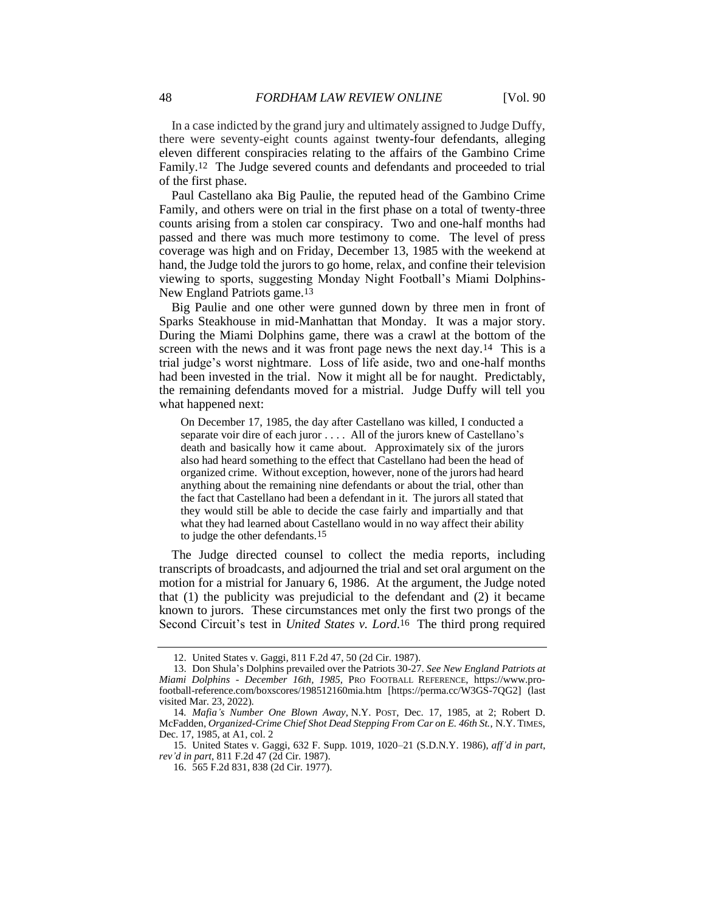In a case indicted by the grand jury and ultimately assigned to Judge Duffy, there were seventy-eight counts against twenty-four defendants, alleging eleven different conspiracies relating to the affairs of the Gambino Crime Family.12 The Judge severed counts and defendants and proceeded to trial of the first phase.

Paul Castellano aka Big Paulie, the reputed head of the Gambino Crime Family, and others were on trial in the first phase on a total of twenty-three counts arising from a stolen car conspiracy. Two and one-half months had passed and there was much more testimony to come. The level of press coverage was high and on Friday, December 13, 1985 with the weekend at hand, the Judge told the jurors to go home, relax, and confine their television viewing to sports, suggesting Monday Night Football's Miami Dolphins-New England Patriots game.13

Big Paulie and one other were gunned down by three men in front of Sparks Steakhouse in mid-Manhattan that Monday. It was a major story. During the Miami Dolphins game, there was a crawl at the bottom of the screen with the news and it was front page news the next day.<sup>14</sup> This is a trial judge's worst nightmare. Loss of life aside, two and one-half months had been invested in the trial. Now it might all be for naught. Predictably, the remaining defendants moved for a mistrial. Judge Duffy will tell you what happened next:

On December 17, 1985, the day after Castellano was killed, I conducted a separate voir dire of each juror . . . . All of the jurors knew of Castellano's death and basically how it came about. Approximately six of the jurors also had heard something to the effect that Castellano had been the head of organized crime. Without exception, however, none of the jurors had heard anything about the remaining nine defendants or about the trial, other than the fact that Castellano had been a defendant in it. The jurors all stated that they would still be able to decide the case fairly and impartially and that what they had learned about Castellano would in no way affect their ability to judge the other defendants.15

The Judge directed counsel to collect the media reports, including transcripts of broadcasts, and adjourned the trial and set oral argument on the motion for a mistrial for January 6, 1986. At the argument, the Judge noted that (1) the publicity was prejudicial to the defendant and (2) it became known to jurors. These circumstances met only the first two prongs of the Second Circuit's test in *United States v. Lord.* 16 The third prong required

<sup>12.</sup> United States v. Gaggi*,* 811 F.2d 47, 50 (2d Cir. 1987).

<sup>13.</sup> Don Shula's Dolphins prevailed over the Patriots 30-27. *See New England Patriots at Miami Dolphins - December 16th, 1985*, PRO FOOTBALL REFERENCE, https://www.profootball-reference.com/boxscores/198512160mia.htm [https://perma.cc/W3GS-7QG2] (last visited Mar. 23, 2022).

<sup>14</sup>*. Mafia's Number One Blown Away*, N.Y. POST, Dec. 17, 1985, at 2; Robert D. McFadden, *Organized-Crime Chief Shot Dead Stepping From Car on E. 46th St.*, N.Y. TIMES, Dec. 17, 1985, at A1, col. 2

<sup>15.</sup> United States v. Gaggi, 632 F. Supp. 1019, 1020–21 (S.D.N.Y. 1986), *aff'd in part*, *rev'd in part*, 811 F.2d 47 (2d Cir. 1987).

<sup>16.</sup> 565 F.2d 831, 838 (2d Cir. 1977).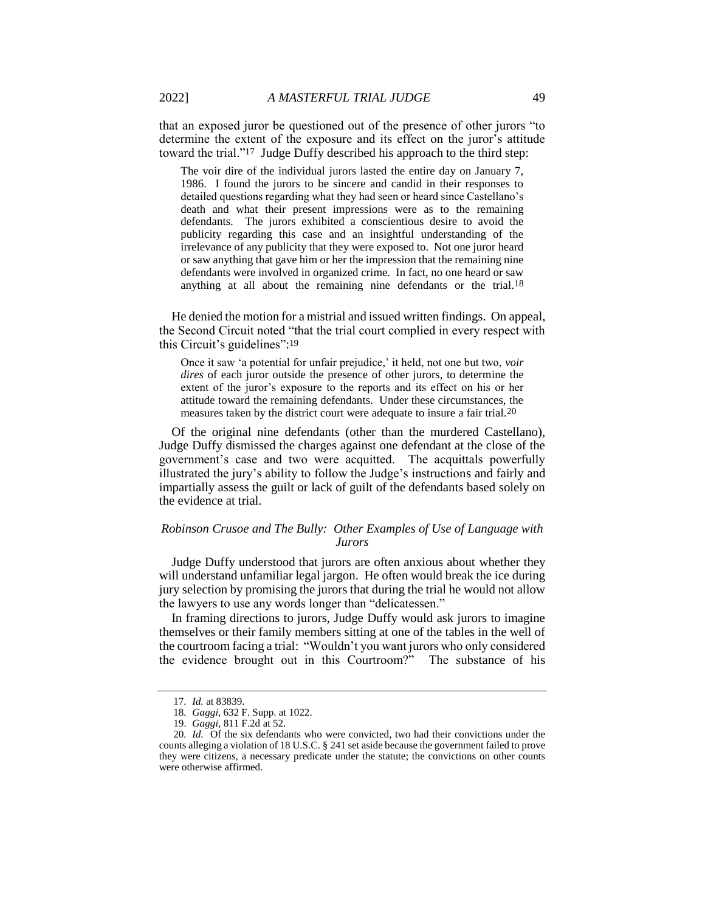that an exposed juror be questioned out of the presence of other jurors "to determine the extent of the exposure and its effect on the juror's attitude toward the trial."17 Judge Duffy described his approach to the third step:

The voir dire of the individual jurors lasted the entire day on January 7, 1986. I found the jurors to be sincere and candid in their responses to detailed questions regarding what they had seen or heard since Castellano's death and what their present impressions were as to the remaining defendants. The jurors exhibited a conscientious desire to avoid the publicity regarding this case and an insightful understanding of the irrelevance of any publicity that they were exposed to. Not one juror heard or saw anything that gave him or her the impression that the remaining nine defendants were involved in organized crime. In fact, no one heard or saw anything at all about the remaining nine defendants or the trial.18

He denied the motion for a mistrial and issued written findings. On appeal, the Second Circuit noted "that the trial court complied in every respect with this Circuit's guidelines": 19

Once it saw 'a potential for unfair prejudice,' it held, not one but two, *voir dires* of each juror outside the presence of other jurors, to determine the extent of the juror's exposure to the reports and its effect on his or her attitude toward the remaining defendants. Under these circumstances, the measures taken by the district court were adequate to insure a fair trial.20

Of the original nine defendants (other than the murdered Castellano), Judge Duffy dismissed the charges against one defendant at the close of the government's case and two were acquitted. The acquittals powerfully illustrated the jury's ability to follow the Judge's instructions and fairly and impartially assess the guilt or lack of guilt of the defendants based solely on the evidence at trial.

## *Robinson Crusoe and The Bully: Other Examples of Use of Language with Jurors*

Judge Duffy understood that jurors are often anxious about whether they will understand unfamiliar legal jargon. He often would break the ice during jury selection by promising the jurors that during the trial he would not allow the lawyers to use any words longer than "delicatessen."

In framing directions to jurors, Judge Duffy would ask jurors to imagine themselves or their family members sitting at one of the tables in the well of the courtroom facing a trial: "Wouldn't you want jurors who only considered the evidence brought out in this Courtroom?" The substance of his

<sup>17</sup>*. Id.* at 83839.

<sup>18</sup>*. Gaggi*, 632 F. Supp. at 1022.

<sup>19.</sup> *Gaggi,* 811 F.2d at 52.

<sup>20</sup>*. Id.* Of the six defendants who were convicted, two had their convictions under the counts alleging a violation of 18 U.S.C. § 241 set aside because the government failed to prove they were citizens, a necessary predicate under the statute; the convictions on other counts were otherwise affirmed.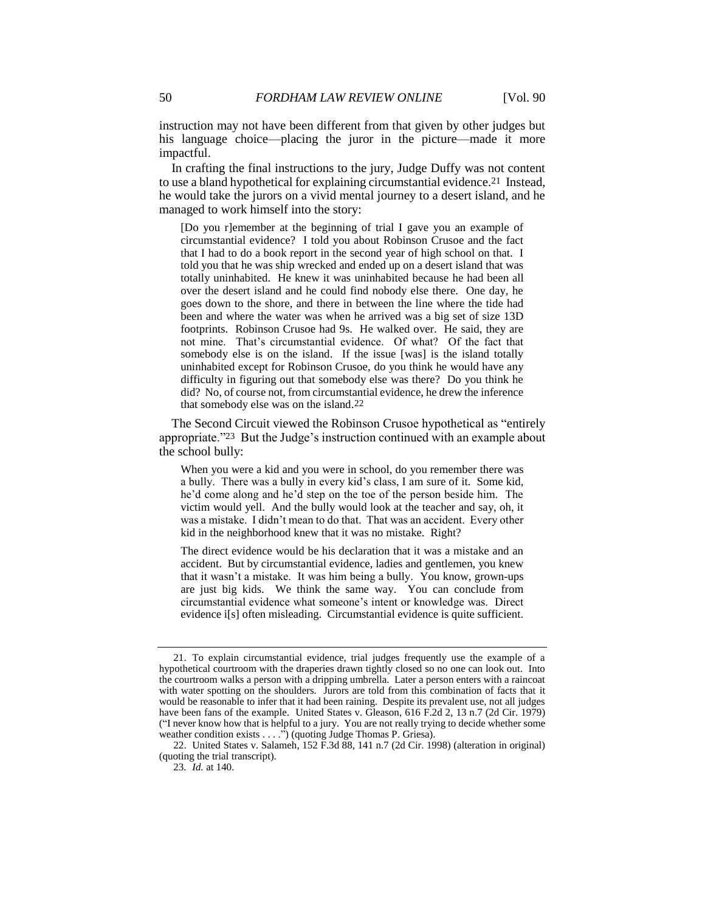instruction may not have been different from that given by other judges but his language choice—placing the juror in the picture—made it more impactful.

In crafting the final instructions to the jury, Judge Duffy was not content to use a bland hypothetical for explaining circumstantial evidence.21 Instead, he would take the jurors on a vivid mental journey to a desert island, and he managed to work himself into the story:

[Do you r]emember at the beginning of trial I gave you an example of circumstantial evidence? I told you about Robinson Crusoe and the fact that I had to do a book report in the second year of high school on that. I told you that he was ship wrecked and ended up on a desert island that was totally uninhabited. He knew it was uninhabited because he had been all over the desert island and he could find nobody else there. One day, he goes down to the shore, and there in between the line where the tide had been and where the water was when he arrived was a big set of size 13D footprints. Robinson Crusoe had 9s. He walked over. He said, they are not mine. That's circumstantial evidence. Of what? Of the fact that somebody else is on the island. If the issue [was] is the island totally uninhabited except for Robinson Crusoe, do you think he would have any difficulty in figuring out that somebody else was there? Do you think he did? No, of course not, from circumstantial evidence, he drew the inference that somebody else was on the island.22

The Second Circuit viewed the Robinson Crusoe hypothetical as "entirely appropriate."23 But the Judge's instruction continued with an example about the school bully:

When you were a kid and you were in school, do you remember there was a bully. There was a bully in every kid's class, I am sure of it. Some kid, he'd come along and he'd step on the toe of the person beside him. The victim would yell. And the bully would look at the teacher and say, oh, it was a mistake. I didn't mean to do that. That was an accident. Every other kid in the neighborhood knew that it was no mistake. Right?

The direct evidence would be his declaration that it was a mistake and an accident. But by circumstantial evidence, ladies and gentlemen, you knew that it wasn't a mistake. It was him being a bully. You know, grown-ups are just big kids. We think the same way. You can conclude from circumstantial evidence what someone's intent or knowledge was. Direct evidence i[s] often misleading. Circumstantial evidence is quite sufficient.

<sup>21.</sup> To explain circumstantial evidence, trial judges frequently use the example of a hypothetical courtroom with the draperies drawn tightly closed so no one can look out. Into the courtroom walks a person with a dripping umbrella. Later a person enters with a raincoat with water spotting on the shoulders. Jurors are told from this combination of facts that it would be reasonable to infer that it had been raining. Despite its prevalent use, not all judges have been fans of the example. United States v. Gleason, 616 F.2d 2, 13 n.7 (2d Cir. 1979) ("I never know how that is helpful to a jury. You are not really trying to decide whether some weather condition exists . . . .") (quoting Judge Thomas P. Griesa).

<sup>22.</sup> United States v. Salameh, 152 F.3d 88, 141 n.7 (2d Cir. 1998) (alteration in original) (quoting the trial transcript).

<sup>23</sup>*. Id.* at 140.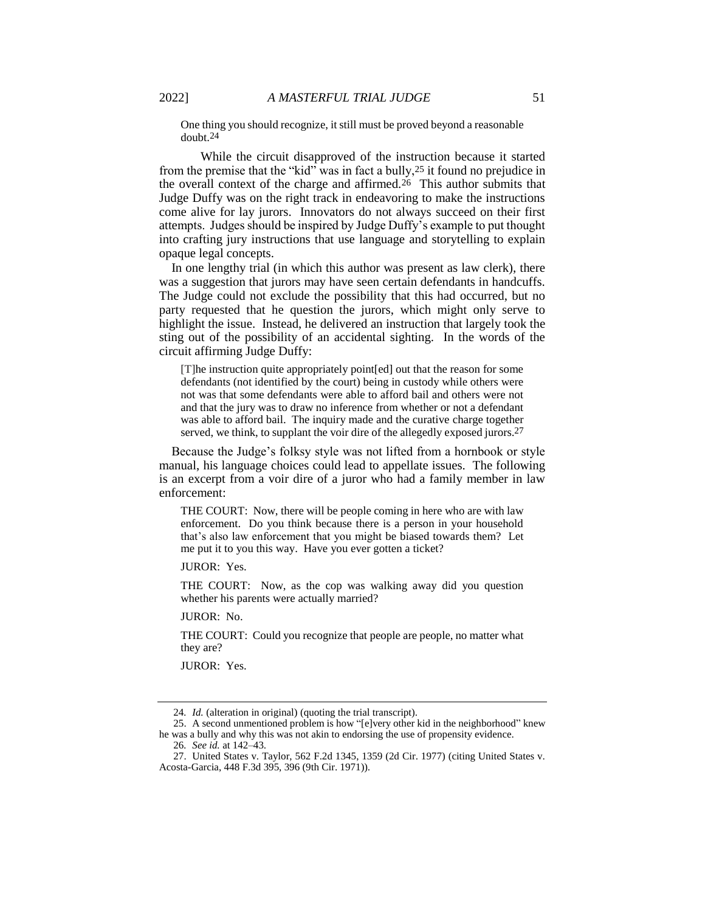One thing you should recognize, it still must be proved beyond a reasonable doubt.24

While the circuit disapproved of the instruction because it started from the premise that the "kid" was in fact a bully,<sup>25</sup> it found no prejudice in the overall context of the charge and affirmed.26 This author submits that Judge Duffy was on the right track in endeavoring to make the instructions come alive for lay jurors. Innovators do not always succeed on their first attempts. Judges should be inspired by Judge Duffy's example to put thought into crafting jury instructions that use language and storytelling to explain opaque legal concepts.

In one lengthy trial (in which this author was present as law clerk), there was a suggestion that jurors may have seen certain defendants in handcuffs. The Judge could not exclude the possibility that this had occurred, but no party requested that he question the jurors, which might only serve to highlight the issue. Instead, he delivered an instruction that largely took the sting out of the possibility of an accidental sighting. In the words of the circuit affirming Judge Duffy:

[T]he instruction quite appropriately point[ed] out that the reason for some defendants (not identified by the court) being in custody while others were not was that some defendants were able to afford bail and others were not and that the jury was to draw no inference from whether or not a defendant was able to afford bail. The inquiry made and the curative charge together served, we think, to supplant the voir dire of the allegedly exposed jurors.<sup>27</sup>

Because the Judge's folksy style was not lifted from a hornbook or style manual, his language choices could lead to appellate issues. The following is an excerpt from a voir dire of a juror who had a family member in law enforcement:

THE COURT: Now, there will be people coming in here who are with law enforcement. Do you think because there is a person in your household that's also law enforcement that you might be biased towards them? Let me put it to you this way. Have you ever gotten a ticket?

JUROR: Yes.

THE COURT: Now, as the cop was walking away did you question whether his parents were actually married?

JUROR: No.

THE COURT: Could you recognize that people are people, no matter what they are?

JUROR: Yes.

<sup>24</sup>*. Id.* (alteration in original) (quoting the trial transcript).

<sup>25.</sup> A second unmentioned problem is how "[e]very other kid in the neighborhood" knew he was a bully and why this was not akin to endorsing the use of propensity evidence.

<sup>26</sup>*. See id.* at 142–43.

<sup>27.</sup> United States v. Taylor, 562 F.2d 1345, 1359 (2d Cir. 1977) (citing United States v. Acosta-Garcia, 448 F.3d 395, 396 (9th Cir. 1971)).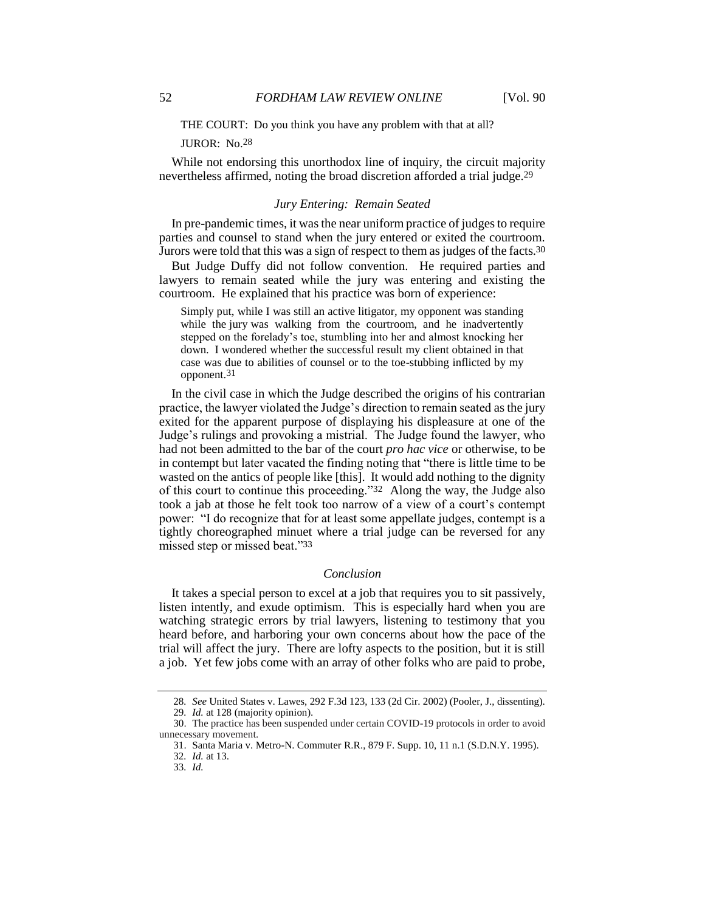THE COURT: Do you think you have any problem with that at all?

#### JUROR: No.28

While not endorsing this unorthodox line of inquiry, the circuit majority nevertheless affirmed, noting the broad discretion afforded a trial judge.29

## *Jury Entering: Remain Seated*

In pre-pandemic times, it was the near uniform practice of judges to require parties and counsel to stand when the jury entered or exited the courtroom. Jurors were told that this was a sign of respect to them as judges of the facts.30

But Judge Duffy did not follow convention. He required parties and lawyers to remain seated while the jury was entering and existing the courtroom. He explained that his practice was born of experience:

Simply put, while I was still an active litigator, my opponent was standing while the jury was walking from the courtroom, and he inadvertently stepped on the forelady's toe, stumbling into her and almost knocking her down. I wondered whether the successful result my client obtained in that case was due to abilities of counsel or to the toe-stubbing inflicted by my opponent.31

In the civil case in which the Judge described the origins of his contrarian practice, the lawyer violated the Judge's direction to remain seated as the jury exited for the apparent purpose of displaying his displeasure at one of the Judge's rulings and provoking a mistrial. The Judge found the lawyer, who had not been admitted to the bar of the court *pro hac vice* or otherwise, to be in contempt but later vacated the finding noting that "there is little time to be wasted on the antics of people like [this]. It would add nothing to the dignity of this court to continue this proceeding."32 Along the way, the Judge also took a jab at those he felt took too narrow of a view of a court's contempt power: "I do recognize that for at least some appellate judges, contempt is a tightly choreographed minuet where a trial judge can be reversed for any missed step or missed beat."33

#### *Conclusion*

It takes a special person to excel at a job that requires you to sit passively, listen intently, and exude optimism. This is especially hard when you are watching strategic errors by trial lawyers, listening to testimony that you heard before, and harboring your own concerns about how the pace of the trial will affect the jury. There are lofty aspects to the position, but it is still a job. Yet few jobs come with an array of other folks who are paid to probe,

<sup>28</sup>*. See* United States v. Lawes, 292 F.3d 123, 133 (2d Cir. 2002) (Pooler, J., dissenting).

<sup>29</sup>*. Id.* at 128 (majority opinion).

<sup>30.</sup> The practice has been suspended under certain COVID-19 protocols in order to avoid unnecessary movement.

<sup>31.</sup> Santa Maria v. Metro-N. Commuter R.R., 879 F. Supp. 10, 11 n.1 (S.D.N.Y. 1995).

<sup>32</sup>*. Id.* at 13.

<sup>33</sup>*. Id.*